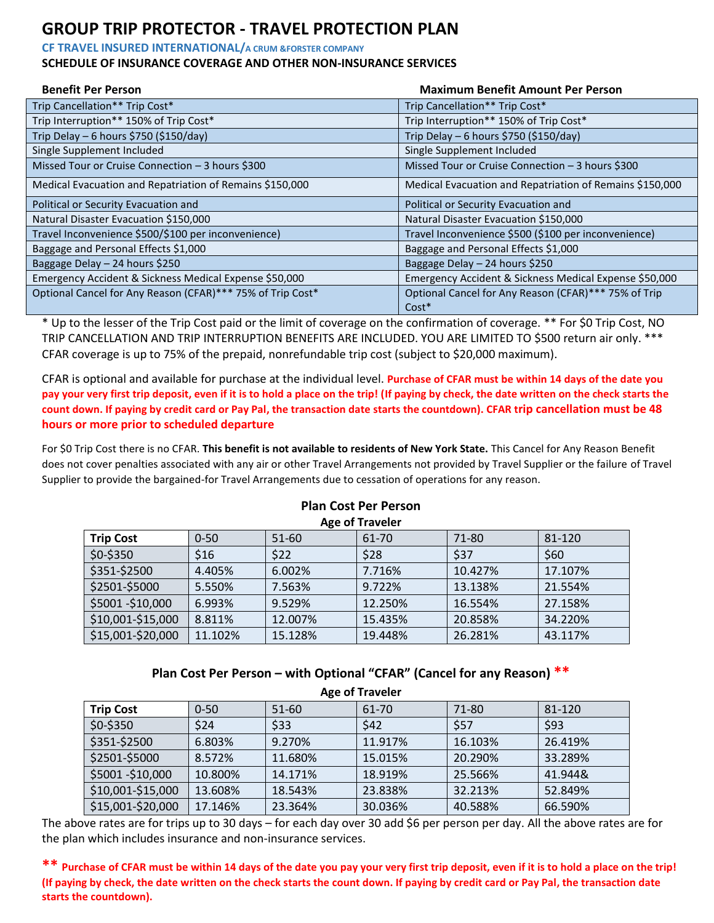## **GROUP TRIP PROTECTOR - TRAVEL PROTECTION PLAN**

**CF TRAVEL INSURED INTERNATIONAL/A CRUM &FORSTER COMPANY** 

#### **SCHEDULE OF INSURANCE COVERAGE AND OTHER NON-INSURANCE SERVICES**

| <b>Benefit Per Person</b>                                  | <b>Maximum Benefit Amount Per Person</b>                        |
|------------------------------------------------------------|-----------------------------------------------------------------|
| Trip Cancellation** Trip Cost*                             | Trip Cancellation** Trip Cost*                                  |
| Trip Interruption** 150% of Trip Cost*                     | Trip Interruption** 150% of Trip Cost*                          |
| Trip Delay $-6$ hours \$750 (\$150/day)                    | Trip Delay – 6 hours \$750 (\$150/day)                          |
| Single Supplement Included                                 | Single Supplement Included                                      |
| Missed Tour or Cruise Connection - 3 hours \$300           | Missed Tour or Cruise Connection - 3 hours \$300                |
| Medical Evacuation and Repatriation of Remains \$150,000   | Medical Evacuation and Repatriation of Remains \$150,000        |
| Political or Security Evacuation and                       | Political or Security Evacuation and                            |
| Natural Disaster Evacuation \$150,000                      | Natural Disaster Evacuation \$150,000                           |
| Travel Inconvenience \$500/\$100 per inconvenience)        | Travel Inconvenience \$500 (\$100 per inconvenience)            |
| Baggage and Personal Effects \$1,000                       | Baggage and Personal Effects \$1,000                            |
| Baggage Delay - 24 hours \$250                             | Baggage Delay - 24 hours \$250                                  |
| Emergency Accident & Sickness Medical Expense \$50,000     | Emergency Accident & Sickness Medical Expense \$50,000          |
| Optional Cancel for Any Reason (CFAR)*** 75% of Trip Cost* | Optional Cancel for Any Reason (CFAR)*** 75% of Trip<br>$Cost*$ |

\* Up to the lesser of the Trip Cost paid or the limit of coverage on the confirmation of coverage. \*\* For \$0 Trip Cost, NO TRIP CANCELLATION AND TRIP INTERRUPTION BENEFITS ARE INCLUDED. YOU ARE LIMITED TO \$500 return air only. \*\*\* CFAR coverage is up to 75% of the prepaid, nonrefundable trip cost (subject to \$20,000 maximum).

CFAR is optional and available for purchase at the individual level. **Purchase of CFAR must be within 14 days of the date you pay your very first trip deposit, even if it is to hold a place on the trip! (If paying by check, the date written on the check starts the count down. If paying by credit card or Pay Pal, the transaction date starts the countdown). CFAR trip cancellation must be 48 hours or more prior to scheduled departure**

For \$0 Trip Cost there is no CFAR. **This benefit is not available to residents of New York State.** This Cancel for Any Reason Benefit does not cover penalties associated with any air or other Travel Arrangements not provided by Travel Supplier or the failure of Travel Supplier to provide the bargained-for Travel Arrangements due to cessation of operations for any reason.

| Age of Traveler   |          |           |         |         |         |  |
|-------------------|----------|-----------|---------|---------|---------|--|
| <b>Trip Cost</b>  | $0 - 50$ | $51 - 60$ | 61-70   | 71-80   | 81-120  |  |
| $$0-$350$         | \$16     | \$22      | \$28    | \$37    | \$60    |  |
| \$351-\$2500      | 4.405%   | 6.002%    | 7.716%  | 10.427% | 17.107% |  |
| \$2501-\$5000     | 5.550%   | 7.563%    | 9.722%  | 13.138% | 21.554% |  |
| \$5001 - \$10,000 | 6.993%   | 9.529%    | 12.250% | 16.554% | 27.158% |  |
| \$10,001-\$15,000 | 8.811%   | 12.007%   | 15.435% | 20.858% | 34.220% |  |
| \$15,001-\$20,000 | 11.102%  | 15.128%   | 19.448% | 26.281% | 43.117% |  |

#### **Plan Cost Per Person Age of Traveler**

#### **Plan Cost Per Person – with Optional "CFAR" (Cancel for any Reason) \*\* Age of Traveler**

| <b>ARC VI TIUVER</b> |          |         |         |         |         |  |
|----------------------|----------|---------|---------|---------|---------|--|
| <b>Trip Cost</b>     | $0 - 50$ | 51-60   | 61-70   | 71-80   | 81-120  |  |
| $$0-$350$            | \$24     | \$33    | \$42    | \$57    | \$93    |  |
| \$351-\$2500         | 6.803%   | 9.270%  | 11.917% | 16.103% | 26.419% |  |
| \$2501-\$5000        | 8.572%   | 11.680% | 15.015% | 20.290% | 33.289% |  |
| \$5001 - \$10,000    | 10.800%  | 14.171% | 18.919% | 25.566% | 41.944& |  |
| \$10,001-\$15,000    | 13.608%  | 18.543% | 23.838% | 32.213% | 52.849% |  |
| \$15,001-\$20,000    | 17.146%  | 23.364% | 30.036% | 40.588% | 66.590% |  |

The above rates are for trips up to 30 days – for each day over 30 add \$6 per person per day. All the above rates are for the plan which includes insurance and non-insurance services.

**\*\* Purchase of CFAR must be within 14 days of the date you pay your very first trip deposit, even if it is to hold a place on the trip! (If paying by check, the date written on the check starts the count down. If paying by credit card or Pay Pal, the transaction date starts the countdown).**